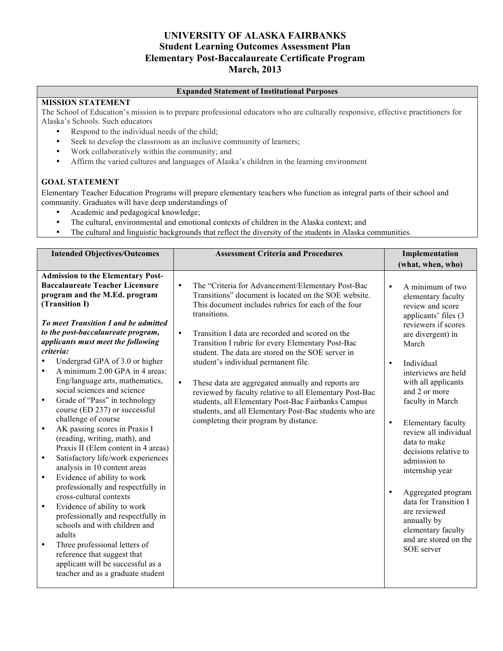### **UNIVERSITY OF ALASKA FAIRBANKS Student Learning Outcomes Assessment Plan Elementary Post-Baccalaureate Certificate Program March, 2013**

#### **Expanded Statement of Institutional Purposes**

#### **MISSION STATEMENT**

The School of Education's mission is to prepare professional educators who are culturally responsive, effective practitioners for Alaska's Schools. Such educators

- Respond to the individual needs of the child;
- Seek to develop the classroom as an inclusive community of learners;
- Work collaboratively within the community; and
- Affirm the varied cultures and languages of Alaska's children in the learning environment

#### **GOAL STATEMENT**

Elementary Teacher Education Programs will prepare elementary teachers who function as integral parts of their school and community. Graduates will have deep understandings of

- Academic and pedagogical knowledge;
- The cultural, environmental and emotional contexts of children in the Alaska context; and
- The cultural and linguistic backgrounds that reflect the diversity of the students in Alaska communities.

| <b>Intended Objectives/Outcomes</b>                                                                                                                                                                                                                                                                                                                                                                                                                                                                                                                                                                                                                                                                                                                                                                                                                                                                                                                                                                                                                                                                                          | <b>Assessment Criteria and Procedures</b>                                                                                                                                                                                                                                                                                                                                                                                                                                                                                                                                                                                                                                                               | Implementation                                                                                                                                                                                                                                                                                                                                                                                                                                                                                                                                                      |
|------------------------------------------------------------------------------------------------------------------------------------------------------------------------------------------------------------------------------------------------------------------------------------------------------------------------------------------------------------------------------------------------------------------------------------------------------------------------------------------------------------------------------------------------------------------------------------------------------------------------------------------------------------------------------------------------------------------------------------------------------------------------------------------------------------------------------------------------------------------------------------------------------------------------------------------------------------------------------------------------------------------------------------------------------------------------------------------------------------------------------|---------------------------------------------------------------------------------------------------------------------------------------------------------------------------------------------------------------------------------------------------------------------------------------------------------------------------------------------------------------------------------------------------------------------------------------------------------------------------------------------------------------------------------------------------------------------------------------------------------------------------------------------------------------------------------------------------------|---------------------------------------------------------------------------------------------------------------------------------------------------------------------------------------------------------------------------------------------------------------------------------------------------------------------------------------------------------------------------------------------------------------------------------------------------------------------------------------------------------------------------------------------------------------------|
|                                                                                                                                                                                                                                                                                                                                                                                                                                                                                                                                                                                                                                                                                                                                                                                                                                                                                                                                                                                                                                                                                                                              |                                                                                                                                                                                                                                                                                                                                                                                                                                                                                                                                                                                                                                                                                                         | (what, when, who)                                                                                                                                                                                                                                                                                                                                                                                                                                                                                                                                                   |
| <b>Admission to the Elementary Post-</b><br><b>Baccalaureate Teacher Licensure</b><br>program and the M.Ed. program<br>(Transition I)<br>To meet Transition I and be admitted<br>to the post-baccalaureate program,<br>applicants must meet the following<br>criteria:<br>Undergrad GPA of 3.0 or higher<br>A minimum 2.00 GPA in 4 areas:<br>Eng/language arts, mathematics,<br>social sciences and science<br>Grade of "Pass" in technology<br>$\bullet$<br>course (ED 237) or successful<br>challenge of course<br>AK passing scores in Praxis I<br>$\bullet$<br>(reading, writing, math), and<br>Praxis II (Elem content in 4 areas)<br>Satisfactory life/work experiences<br>$\bullet$<br>analysis in 10 content areas<br>Evidence of ability to work<br>$\bullet$<br>professionally and respectfully in<br>cross-cultural contexts<br>Evidence of ability to work<br>$\bullet$<br>professionally and respectfully in<br>schools and with children and<br>adults<br>Three professional letters of<br>$\bullet$<br>reference that suggest that<br>applicant will be successful as a<br>teacher and as a graduate student | The "Criteria for Advancement/Elementary Post-Bac<br>$\bullet$<br>Transitions" document is located on the SOE website.<br>This document includes rubrics for each of the four<br>transitions.<br>Transition I data are recorded and scored on the<br>$\bullet$<br>Transition I rubric for every Elementary Post-Bac<br>student. The data are stored on the SOE server in<br>student's individual permanent file.<br>$\bullet$<br>These data are aggregated annually and reports are<br>reviewed by faculty relative to all Elementary Post-Bac<br>students, all Elementary Post-Bac Fairbanks Campus<br>students, and all Elementary Post-Bac students who are<br>completing their program by distance. | $\bullet$<br>A minimum of two<br>elementary faculty<br>review and score<br>applicants' files (3)<br>reviewers if scores<br>are divergent) in<br>March<br>Individual<br>$\bullet$<br>interviews are held<br>with all applicants<br>and 2 or more<br>faculty in March<br>$\bullet$<br>Elementary faculty<br>review all individual<br>data to make<br>decisions relative to<br>admission to<br>internship year<br>Aggregated program<br>$\bullet$<br>data for Transition I<br>are reviewed<br>annually by<br>elementary faculty<br>and are stored on the<br>SOE server |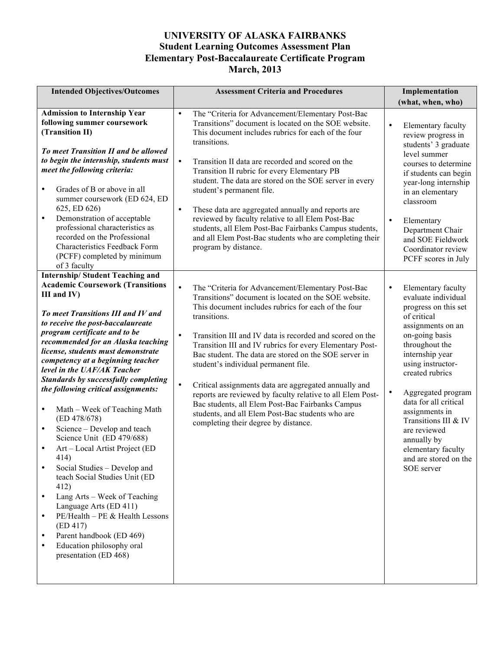## **UNIVERSITY OF ALASKA FAIRBANKS Student Learning Outcomes Assessment Plan Elementary Post-Baccalaureate Certificate Program March, 2013**

| <b>Intended Objectives/Outcomes</b>                                                                                                                                                                                                                                                                                                                                                                                                                                                                                                                                                                                                                                                                                                                                                                                                                                                                                                                                                  | <b>Assessment Criteria and Procedures</b>                                                                                                                                                                                                                                                                                                                                                                                                                                                                                                                                                                                                                                                                               | Implementation                                                                                                                                                                                                                                                                                                                                                                                              |
|--------------------------------------------------------------------------------------------------------------------------------------------------------------------------------------------------------------------------------------------------------------------------------------------------------------------------------------------------------------------------------------------------------------------------------------------------------------------------------------------------------------------------------------------------------------------------------------------------------------------------------------------------------------------------------------------------------------------------------------------------------------------------------------------------------------------------------------------------------------------------------------------------------------------------------------------------------------------------------------|-------------------------------------------------------------------------------------------------------------------------------------------------------------------------------------------------------------------------------------------------------------------------------------------------------------------------------------------------------------------------------------------------------------------------------------------------------------------------------------------------------------------------------------------------------------------------------------------------------------------------------------------------------------------------------------------------------------------------|-------------------------------------------------------------------------------------------------------------------------------------------------------------------------------------------------------------------------------------------------------------------------------------------------------------------------------------------------------------------------------------------------------------|
|                                                                                                                                                                                                                                                                                                                                                                                                                                                                                                                                                                                                                                                                                                                                                                                                                                                                                                                                                                                      |                                                                                                                                                                                                                                                                                                                                                                                                                                                                                                                                                                                                                                                                                                                         | (what, when, who)                                                                                                                                                                                                                                                                                                                                                                                           |
| <b>Admission to Internship Year</b><br>following summer coursework<br>(Transition II)<br>To meet Transition II and be allowed<br>to begin the internship, students must<br>meet the following criteria:                                                                                                                                                                                                                                                                                                                                                                                                                                                                                                                                                                                                                                                                                                                                                                              | $\bullet$<br>The "Criteria for Advancement/Elementary Post-Bac<br>Transitions" document is located on the SOE website.<br>This document includes rubrics for each of the four<br>transitions.<br>$\bullet$<br>Transition II data are recorded and scored on the<br>Transition II rubric for every Elementary PB                                                                                                                                                                                                                                                                                                                                                                                                         | $\bullet$<br>Elementary faculty<br>review progress in<br>students' 3 graduate<br>level summer<br>courses to determine<br>if students can begin                                                                                                                                                                                                                                                              |
| Grades of B or above in all<br>$\bullet$<br>summer coursework (ED 624, ED<br>625, ED 626)<br>Demonstration of acceptable<br>$\bullet$<br>professional characteristics as<br>recorded on the Professional<br>Characteristics Feedback Form<br>(PCFF) completed by minimum<br>of 3 faculty                                                                                                                                                                                                                                                                                                                                                                                                                                                                                                                                                                                                                                                                                             | student. The data are stored on the SOE server in every<br>student's permanent file.<br>$\bullet$<br>These data are aggregated annually and reports are<br>reviewed by faculty relative to all Elem Post-Bac<br>students, all Elem Post-Bac Fairbanks Campus students,<br>and all Elem Post-Bac students who are completing their<br>program by distance.                                                                                                                                                                                                                                                                                                                                                               | year-long internship<br>in an elementary<br>classroom<br>$\bullet$<br>Elementary<br>Department Chair<br>and SOE Fieldwork<br>Coordinator review<br>PCFF scores in July                                                                                                                                                                                                                                      |
| <b>Internship/Student Teaching and</b><br><b>Academic Coursework (Transitions</b><br>III and IV)<br>To meet Transitions III and IV and<br>to receive the post-baccalaureate<br>program certificate and to be<br>recommended for an Alaska teaching<br>license, students must demonstrate<br>competency at a beginning teacher<br>level in the UAF/AK Teacher<br><b>Standards by successfully completing</b><br>the following critical assignments:<br>Math – Week of Teaching Math<br>$\bullet$<br>(ED 478/678)<br>Science - Develop and teach<br>$\bullet$<br>Science Unit (ED 479/688)<br>Art - Local Artist Project (ED<br>$\bullet$<br>414)<br>Social Studies - Develop and<br>$\bullet$<br>teach Social Studies Unit (ED<br>412)<br>Lang Arts - Week of Teaching<br>$\bullet$<br>Language Arts (ED 411)<br>PE/Health - PE & Health Lessons<br>$\bullet$<br>(ED 417)<br>Parent handbook (ED 469)<br>$\bullet$<br>Education philosophy oral<br>$\bullet$<br>presentation (ED 468) | $\bullet$<br>The "Criteria for Advancement/Elementary Post-Bac<br>Transitions" document is located on the SOE website.<br>This document includes rubrics for each of the four<br>transitions.<br>$\bullet$<br>Transition III and IV data is recorded and scored on the<br>Transition III and IV rubrics for every Elementary Post-<br>Bac student. The data are stored on the SOE server in<br>student's individual permanent file.<br>$\bullet$<br>Critical assignments data are aggregated annually and<br>reports are reviewed by faculty relative to all Elem Post-<br>Bac students, all Elem Post-Bac Fairbanks Campus<br>students, and all Elem Post-Bac students who are<br>completing their degree by distance. | Elementary faculty<br>٠<br>evaluate individual<br>progress on this set<br>of critical<br>assignments on an<br>on-going basis<br>throughout the<br>internship year<br>using instructor-<br>created rubrics<br>Aggregated program<br>$\bullet$<br>data for all critical<br>assignments in<br>Transitions III & IV<br>are reviewed<br>annually by<br>elementary faculty<br>and are stored on the<br>SOE server |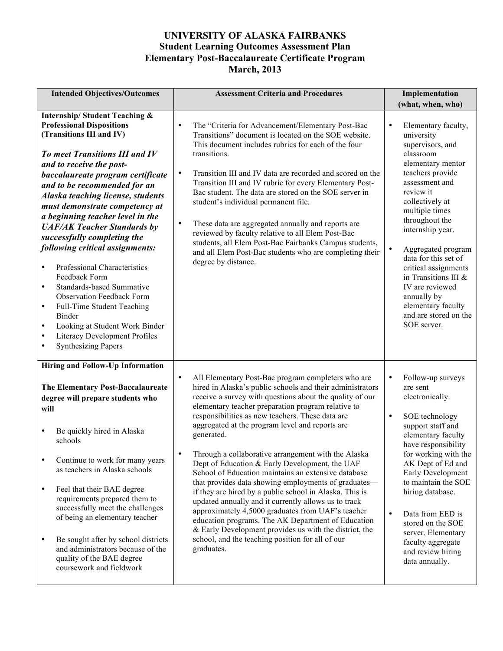## **UNIVERSITY OF ALASKA FAIRBANKS Student Learning Outcomes Assessment Plan Elementary Post-Baccalaureate Certificate Program March, 2013**

| <b>Intended Objectives/Outcomes</b>                                                                                                                                                                                                                                                                                                                                                                                                                                                                                                                                                                                                                                                                                                                                                                                                 | <b>Assessment Criteria and Procedures</b>                                                                                                                                                                                                                                                                                                                                                                                                                                                                                                                                                                                                                                                                                                                                                                                                                                                                                                                          | Implementation                                                                                                                                                                                                                                                                                                                                                                                                                                |
|-------------------------------------------------------------------------------------------------------------------------------------------------------------------------------------------------------------------------------------------------------------------------------------------------------------------------------------------------------------------------------------------------------------------------------------------------------------------------------------------------------------------------------------------------------------------------------------------------------------------------------------------------------------------------------------------------------------------------------------------------------------------------------------------------------------------------------------|--------------------------------------------------------------------------------------------------------------------------------------------------------------------------------------------------------------------------------------------------------------------------------------------------------------------------------------------------------------------------------------------------------------------------------------------------------------------------------------------------------------------------------------------------------------------------------------------------------------------------------------------------------------------------------------------------------------------------------------------------------------------------------------------------------------------------------------------------------------------------------------------------------------------------------------------------------------------|-----------------------------------------------------------------------------------------------------------------------------------------------------------------------------------------------------------------------------------------------------------------------------------------------------------------------------------------------------------------------------------------------------------------------------------------------|
|                                                                                                                                                                                                                                                                                                                                                                                                                                                                                                                                                                                                                                                                                                                                                                                                                                     |                                                                                                                                                                                                                                                                                                                                                                                                                                                                                                                                                                                                                                                                                                                                                                                                                                                                                                                                                                    | (what, when, who)                                                                                                                                                                                                                                                                                                                                                                                                                             |
| <b>Internship/Student Teaching &amp;</b><br><b>Professional Dispositions</b><br>(Transitions III and IV)<br><b>To meet Transitions III and IV</b><br>and to receive the post-<br>baccalaureate program certificate<br>and to be recommended for an<br><b>Alaska teaching license, students</b><br>must demonstrate competency at<br>a beginning teacher level in the<br><b>UAF/AK Teacher Standards by</b><br>successfully completing the<br>following critical assignments:<br>Professional Characteristics<br>$\bullet$<br>Feedback Form<br><b>Standards-based Summative</b><br>$\bullet$<br><b>Observation Feedback Form</b><br>Full-Time Student Teaching<br>$\bullet$<br><b>Binder</b><br>Looking at Student Work Binder<br>$\bullet$<br>Literacy Development Profiles<br>$\bullet$<br><b>Synthesizing Papers</b><br>$\bullet$ | $\bullet$<br>The "Criteria for Advancement/Elementary Post-Bac<br>Transitions" document is located on the SOE website.<br>This document includes rubrics for each of the four<br>transitions.<br>$\bullet$<br>Transition III and IV data are recorded and scored on the<br>Transition III and IV rubric for every Elementary Post-<br>Bac student. The data are stored on the SOE server in<br>student's individual permanent file.<br>$\bullet$<br>These data are aggregated annually and reports are<br>reviewed by faculty relative to all Elem Post-Bac<br>students, all Elem Post-Bac Fairbanks Campus students,<br>and all Elem Post-Bac students who are completing their<br>degree by distance.                                                                                                                                                                                                                                                            | Elementary faculty,<br>$\bullet$<br>university<br>supervisors, and<br>classroom<br>elementary mentor<br>teachers provide<br>assessment and<br>review it<br>collectively at<br>multiple times<br>throughout the<br>internship year.<br>$\bullet$<br>Aggregated program<br>data for this set of<br>critical assignments<br>in Transitions III &<br>IV are reviewed<br>annually by<br>elementary faculty<br>and are stored on the<br>SOE server. |
| Hiring and Follow-Up Information<br>The Elementary Post-Baccalaureate<br>degree will prepare students who<br>will<br>Be quickly hired in Alaska<br>$\bullet$<br>schools<br>Continue to work for many years<br>$\bullet$<br>as teachers in Alaska schools<br>Feel that their BAE degree<br>$\bullet$<br>requirements prepared them to<br>successfully meet the challenges<br>of being an elementary teacher<br>Be sought after by school districts<br>$\bullet$<br>and administrators because of the<br>quality of the BAE degree<br>coursework and fieldwork                                                                                                                                                                                                                                                                        | $\bullet$<br>All Elementary Post-Bac program completers who are<br>hired in Alaska's public schools and their administrators<br>receive a survey with questions about the quality of our<br>elementary teacher preparation program relative to<br>responsibilities as new teachers. These data are<br>aggregated at the program level and reports are<br>generated.<br>Through a collaborative arrangement with the Alaska<br>$\bullet$<br>Dept of Education & Early Development, the UAF<br>School of Education maintains an extensive database<br>that provides data showing employments of graduates-<br>if they are hired by a public school in Alaska. This is<br>updated annually and it currently allows us to track<br>approximately 4,5000 graduates from UAF's teacher<br>education programs. The AK Department of Education<br>& Early Development provides us with the district, the<br>school, and the teaching position for all of our<br>graduates. | Follow-up surveys<br>$\bullet$<br>are sent<br>electronically.<br>$\bullet$<br>SOE technology<br>support staff and<br>elementary faculty<br>have responsibility<br>for working with the<br>AK Dept of Ed and<br>Early Development<br>to maintain the SOE<br>hiring database.<br>Data from EED is<br>$\bullet$<br>stored on the SOE<br>server. Elementary<br>faculty aggregate<br>and review hiring<br>data annually.                           |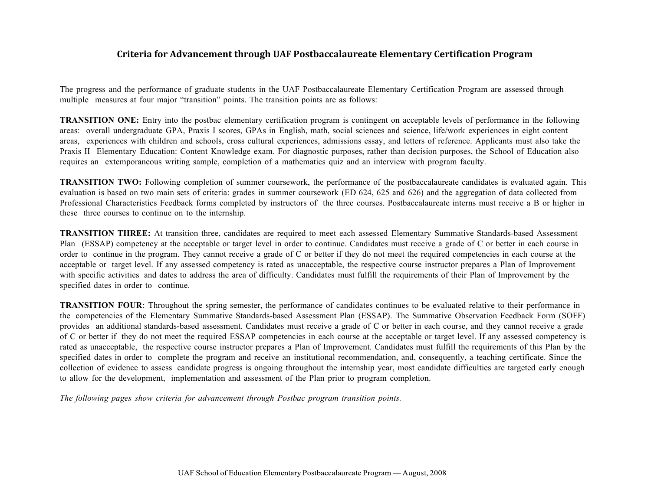### **Criteria for Advancement through UAF Postbaccalaureate Elementary Certification Program**

The progress and the performance of graduate students in the UAF Postbaccalaureate Elementary Certification Program are assessed through multiple measures at four major "transition" points. The transition points are as follows:

**TRANSITION ONE:** Entry into the postbac elementary certification program is contingent on acceptable levels of performance in the following areas: overall undergraduate GPA, Praxis I scores, GPAs in English, math, social sciences and science, life/work experiences in eight content areas, experiences with children and schools, cross cultural experiences, admissions essay, and letters of reference. Applicants must also take the Praxis II Elementary Education: Content Knowledge exam. For diagnostic purposes, rather than decision purposes, the School of Education also requires an extemporaneous writing sample, completion of a mathematics quiz and an interview with program faculty.

**TRANSITION TWO:** Following completion of summer coursework, the performance of the postbaccalaureate candidates is evaluated again. This evaluation is based on two main sets of criteria: grades in summer coursework (ED 624, 625 and 626) and the aggregation of data collected from Professional Characteristics Feedback forms completed by instructors of the three courses. Postbaccalaureate interns must receive a B or higher in these three courses to continue on to the internship.

**TRANSITION THREE:** At transition three, candidates are required to meet each assessed Elementary Summative Standards-based Assessment Plan (ESSAP) competency at the acceptable or target level in order to continue. Candidates must receive a grade of C or better in each course in order to continue in the program. They cannot receive a grade of C or better if they do not meet the required competencies in each course at the acceptable or target level. If any assessed competency is rated as unacceptable, the respective course instructor prepares a Plan of Improvement with specific activities and dates to address the area of difficulty. Candidates must fulfill the requirements of their Plan of Improvement by the specified dates in order to continue.

**TRANSITION FOUR**: Throughout the spring semester, the performance of candidates continues to be evaluated relative to their performance in the competencies of the Elementary Summative Standards-based Assessment Plan (ESSAP). The Summative Observation Feedback Form (SOFF) provides an additional standards-based assessment. Candidates must receive a grade of C or better in each course, and they cannot receive a grade of C or better if they do not meet the required ESSAP competencies in each course at the acceptable or target level. If any assessed competency is rated as unacceptable, the respective course instructor prepares a Plan of Improvement. Candidates must fulfill the requirements of this Plan by the specified dates in order to complete the program and receive an institutional recommendation, and, consequently, a teaching certificate. Since the collection of evidence to assess candidate progress is ongoing throughout the internship year, most candidate difficulties are targeted early enough to allow for the development, implementation and assessment of the Plan prior to program completion.

*The following pages show criteria for advancement through Postbac program transition points.*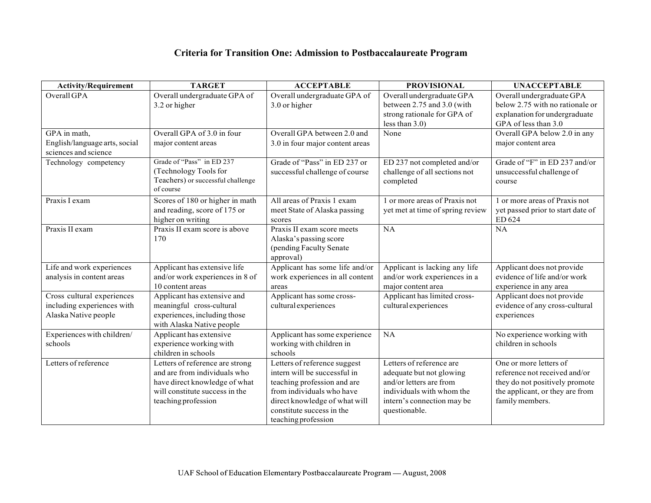# **Criteria for Transition One: Admission to Postbaccalaureate Program**

| <b>Activity/Requirement</b>   | <b>TARGET</b>                     | <b>ACCEPTABLE</b>               | <b>PROVISIONAL</b>               | <b>UNACCEPTABLE</b>               |
|-------------------------------|-----------------------------------|---------------------------------|----------------------------------|-----------------------------------|
| Overall GPA                   | Overall undergraduate GPA of      | Overall undergraduate GPA of    | Overall undergraduate GPA        | Overall undergraduate GPA         |
|                               | 3.2 or higher                     | 3.0 or higher                   | between 2.75 and 3.0 (with       | below 2.75 with no rationale or   |
|                               |                                   |                                 | strong rationale for GPA of      | explanation for undergraduate     |
|                               |                                   |                                 | less than $3.0$ )                | GPA of less than 3.0              |
| GPA in math,                  | Overall GPA of 3.0 in four        | Overall GPA between 2.0 and     | None                             | Overall GPA below 2.0 in any      |
| English/language arts, social | major content areas               | 3.0 in four major content areas |                                  | major content area                |
| sciences and science          |                                   |                                 |                                  |                                   |
| Technology competency         | Grade of "Pass" in ED 237         | Grade of "Pass" in ED 237 or    | ED 237 not completed and/or      | Grade of "F" in ED 237 and/or     |
|                               | (Technology Tools for             | successful challenge of course  | challenge of all sections not    | unsuccessful challenge of         |
|                               | Teachers) or successful challenge |                                 | completed                        | course                            |
|                               | of course                         |                                 |                                  |                                   |
| Praxis I exam                 | Scores of 180 or higher in math   | All areas of Praxis 1 exam      | 1 or more areas of Praxis not    | 1 or more areas of Praxis not     |
|                               | and reading, score of 175 or      | meet State of Alaska passing    | yet met at time of spring review | yet passed prior to start date of |
|                               | higher on writing                 | scores                          |                                  | ED 624                            |
| Praxis II exam                | Praxis II exam score is above     | Praxis II exam score meets      | NA                               | $\overline{NA}$                   |
|                               | 170                               | Alaska's passing score          |                                  |                                   |
|                               |                                   | (pending Faculty Senate         |                                  |                                   |
|                               |                                   | approval)                       |                                  |                                   |
| Life and work experiences     | Applicant has extensive life      | Applicant has some life and/or  | Applicant is lacking any life    | Applicant does not provide        |
| analysis in content areas     | and/or work experiences in 8 of   | work experiences in all content | and/or work experiences in a     | evidence of life and/or work      |
|                               | 10 content areas                  | areas                           | major content area               | experience in any area            |
| Cross cultural experiences    | Applicant has extensive and       | Applicant has some cross-       | Applicant has limited cross-     | Applicant does not provide        |
| including experiences with    | meaningful cross-cultural         | cultural experiences            | cultural experiences             | evidence of any cross-cultural    |
| Alaska Native people          | experiences, including those      |                                 |                                  | experiences                       |
|                               | with Alaska Native people         |                                 |                                  |                                   |
| Experiences with children/    | Applicant has extensive           | Applicant has some experience   | NA                               | No experience working with        |
| schools                       | experience working with           | working with children in        |                                  | children in schools               |
|                               | children in schools               | schools                         |                                  |                                   |
| Letters of reference          | Letters of reference are strong   | Letters of reference suggest    | Letters of reference are         | One or more letters of            |
|                               | and are from individuals who      | intern will be successful in    | adequate but not glowing         | reference not received and/or     |
|                               | have direct knowledge of what     | teaching profession and are     | and/or letters are from          | they do not positively promote    |
|                               | will constitute success in the    | from individuals who have       | individuals with whom the        | the applicant, or they are from   |
|                               | teaching profession               | direct knowledge of what will   | intern's connection may be       | family members.                   |
|                               |                                   | constitute success in the       | questionable.                    |                                   |
|                               |                                   | teaching profession             |                                  |                                   |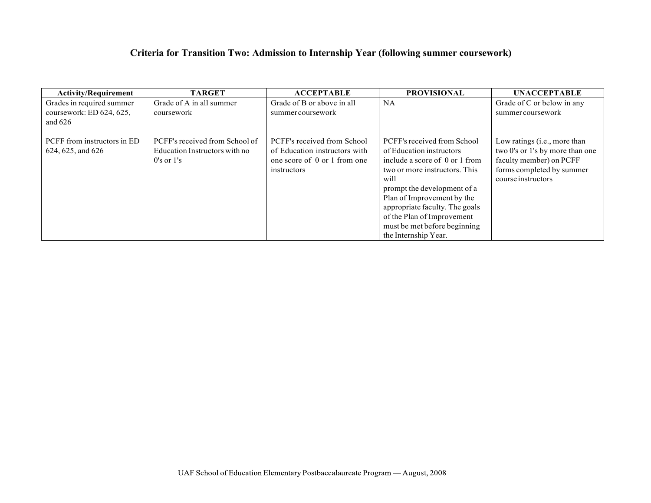# **Criteria for Transition Two: Admission to Internship Year (following summer coursework)**

| <b>Activity/Requirement</b>                           | <b>TARGET</b>                          | <b>ACCEPTABLE</b>                               | <b>PROVISIONAL</b>             | <b>UNACCEPTABLE</b>                             |
|-------------------------------------------------------|----------------------------------------|-------------------------------------------------|--------------------------------|-------------------------------------------------|
| Grades in required summer<br>coursework: ED 624, 625, | Grade of A in all summer<br>coursework | Grade of B or above in all<br>summer coursework | <b>NA</b>                      | Grade of C or below in any<br>summer coursework |
| and $626$                                             |                                        |                                                 |                                |                                                 |
| PCFF from instructors in ED                           | PCFF's received from School of         | PCFF's received from School                     | PCFF's received from School    | Low ratings ( <i>i.e.</i> , more than           |
| 624, 625, and 626                                     | Education Instructors with no          | of Education instructors with                   | of Education instructors       | two 0's or 1's by more than one                 |
|                                                       | $0's$ or $1's$                         | one score of 0 or 1 from one                    | include a score of 0 or 1 from | faculty member) on PCFF                         |
|                                                       |                                        | instructors                                     | two or more instructors. This  | forms completed by summer                       |
|                                                       |                                        |                                                 | will                           | course instructors                              |
|                                                       |                                        |                                                 | prompt the development of a    |                                                 |
|                                                       |                                        |                                                 | Plan of Improvement by the     |                                                 |
|                                                       |                                        |                                                 | appropriate faculty. The goals |                                                 |
|                                                       |                                        |                                                 | of the Plan of Improvement     |                                                 |
|                                                       |                                        |                                                 | must be met before beginning   |                                                 |
|                                                       |                                        |                                                 | the Internship Year.           |                                                 |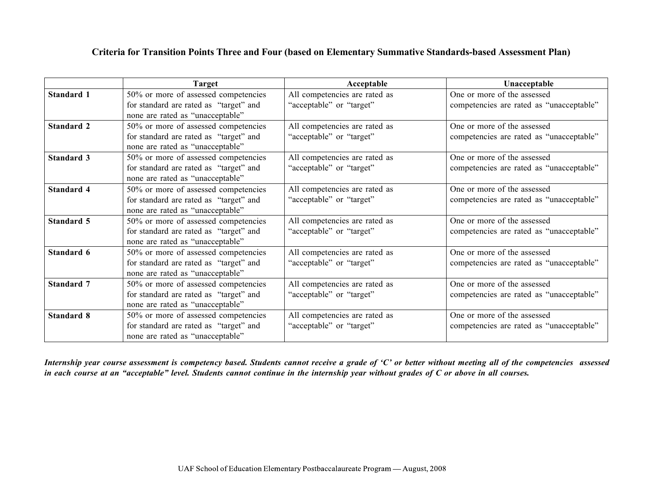## **Criteria for Transition Points Three and Four (based on Elementary Summative Standards-based Assessment Plan)**

|                   | <b>Target</b>                                                                                                      | Acceptable                                                | Unacceptable                                                            |
|-------------------|--------------------------------------------------------------------------------------------------------------------|-----------------------------------------------------------|-------------------------------------------------------------------------|
| <b>Standard 1</b> | 50% or more of assessed competencies<br>for standard are rated as "target" and<br>none are rated as "unacceptable" | All competencies are rated as<br>"acceptable" or "target" | One or more of the assessed<br>competencies are rated as "unacceptable" |
| <b>Standard 2</b> | 50% or more of assessed competencies<br>for standard are rated as "target" and<br>none are rated as "unacceptable" | All competencies are rated as<br>"acceptable" or "target" | One or more of the assessed<br>competencies are rated as "unacceptable" |
| <b>Standard 3</b> | 50% or more of assessed competencies<br>for standard are rated as "target" and<br>none are rated as "unacceptable" | All competencies are rated as<br>"acceptable" or "target" | One or more of the assessed<br>competencies are rated as "unacceptable" |
| Standard 4        | 50% or more of assessed competencies<br>for standard are rated as "target" and<br>none are rated as "unacceptable" | All competencies are rated as<br>"acceptable" or "target" | One or more of the assessed<br>competencies are rated as "unacceptable" |
| Standard 5        | 50% or more of assessed competencies<br>for standard are rated as "target" and<br>none are rated as "unacceptable" | All competencies are rated as<br>"acceptable" or "target" | One or more of the assessed<br>competencies are rated as "unacceptable" |
| Standard 6        | 50% or more of assessed competencies<br>for standard are rated as "target" and<br>none are rated as "unacceptable" | All competencies are rated as<br>"acceptable" or "target" | One or more of the assessed<br>competencies are rated as "unacceptable" |
| <b>Standard 7</b> | 50% or more of assessed competencies<br>for standard are rated as "target" and<br>none are rated as "unacceptable" | All competencies are rated as<br>"acceptable" or "target" | One or more of the assessed<br>competencies are rated as "unacceptable" |
| <b>Standard 8</b> | 50% or more of assessed competencies<br>for standard are rated as "target" and<br>none are rated as "unacceptable" | All competencies are rated as<br>"acceptable" or "target" | One or more of the assessed<br>competencies are rated as "unacceptable" |

Internship year course assessment is competency based. Students cannot receive a grade of 'C' or better without meeting all of the competencies assessed in each course at an "acceptable" level. Students cannot continue in the internship year without grades of  $C$  or above in all courses.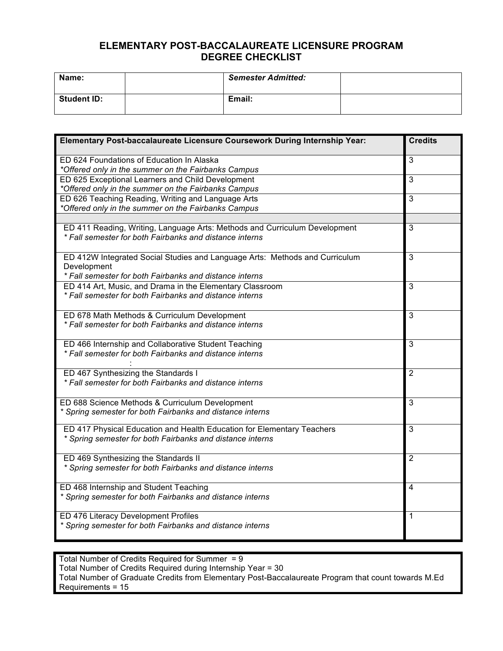### **ELEMENTARY POST-BACCALAUREATE LICENSURE PROGRAM DEGREE CHECKLIST**

| Name:              | <b>Semester Admitted:</b> |  |
|--------------------|---------------------------|--|
| <b>Student ID:</b> | Email:                    |  |

| Elementary Post-baccalaureate Licensure Coursework During Internship Year:                                                            | <b>Credits</b> |
|---------------------------------------------------------------------------------------------------------------------------------------|----------------|
| ED 624 Foundations of Education In Alaska                                                                                             | 3              |
| *Offered only in the summer on the Fairbanks Campus                                                                                   |                |
| ED 625 Exceptional Learners and Child Development                                                                                     | $\overline{3}$ |
| *Offered only in the summer on the Fairbanks Campus                                                                                   |                |
| ED 626 Teaching Reading, Writing and Language Arts                                                                                    | $\overline{3}$ |
| *Offered only in the summer on the Fairbanks Campus                                                                                   |                |
|                                                                                                                                       |                |
| ED 411 Reading, Writing, Language Arts: Methods and Curriculum Development<br>* Fall semester for both Fairbanks and distance interns | 3              |
| ED 412W Integrated Social Studies and Language Arts: Methods and Curriculum<br>Development                                            | $\overline{3}$ |
| * Fall semester for both Fairbanks and distance interns                                                                               |                |
| ED 414 Art, Music, and Drama in the Elementary Classroom                                                                              | $\overline{3}$ |
| * Fall semester for both Fairbanks and distance interns                                                                               |                |
| ED 678 Math Methods & Curriculum Development                                                                                          | $\overline{3}$ |
| * Fall semester for both Fairbanks and distance interns                                                                               |                |
| ED 466 Internship and Collaborative Student Teaching                                                                                  | $\overline{3}$ |
| * Fall semester for both Fairbanks and distance interns                                                                               |                |
| ED 467 Synthesizing the Standards I                                                                                                   | $\overline{2}$ |
| * Fall semester for both Fairbanks and distance interns                                                                               |                |
| ED 688 Science Methods & Curriculum Development                                                                                       | $\overline{3}$ |
| * Spring semester for both Fairbanks and distance interns                                                                             |                |
| ED 417 Physical Education and Health Education for Elementary Teachers                                                                | 3              |
| * Spring semester for both Fairbanks and distance interns                                                                             |                |
| ED 469 Synthesizing the Standards II                                                                                                  | $\overline{2}$ |
| * Spring semester for both Fairbanks and distance interns                                                                             |                |
| ED 468 Internship and Student Teaching                                                                                                | $\overline{4}$ |
| * Spring semester for both Fairbanks and distance interns                                                                             |                |
| ED 476 Literacy Development Profiles                                                                                                  | $\mathbf{1}$   |
| * Spring semester for both Fairbanks and distance interns                                                                             |                |

Total Number of Credits Required for Summer = 9 Total Number of Credits Required during Internship Year = 30 Total Number of Graduate Credits from Elementary Post-Baccalaureate Program that count towards M.Ed Requirements = 15